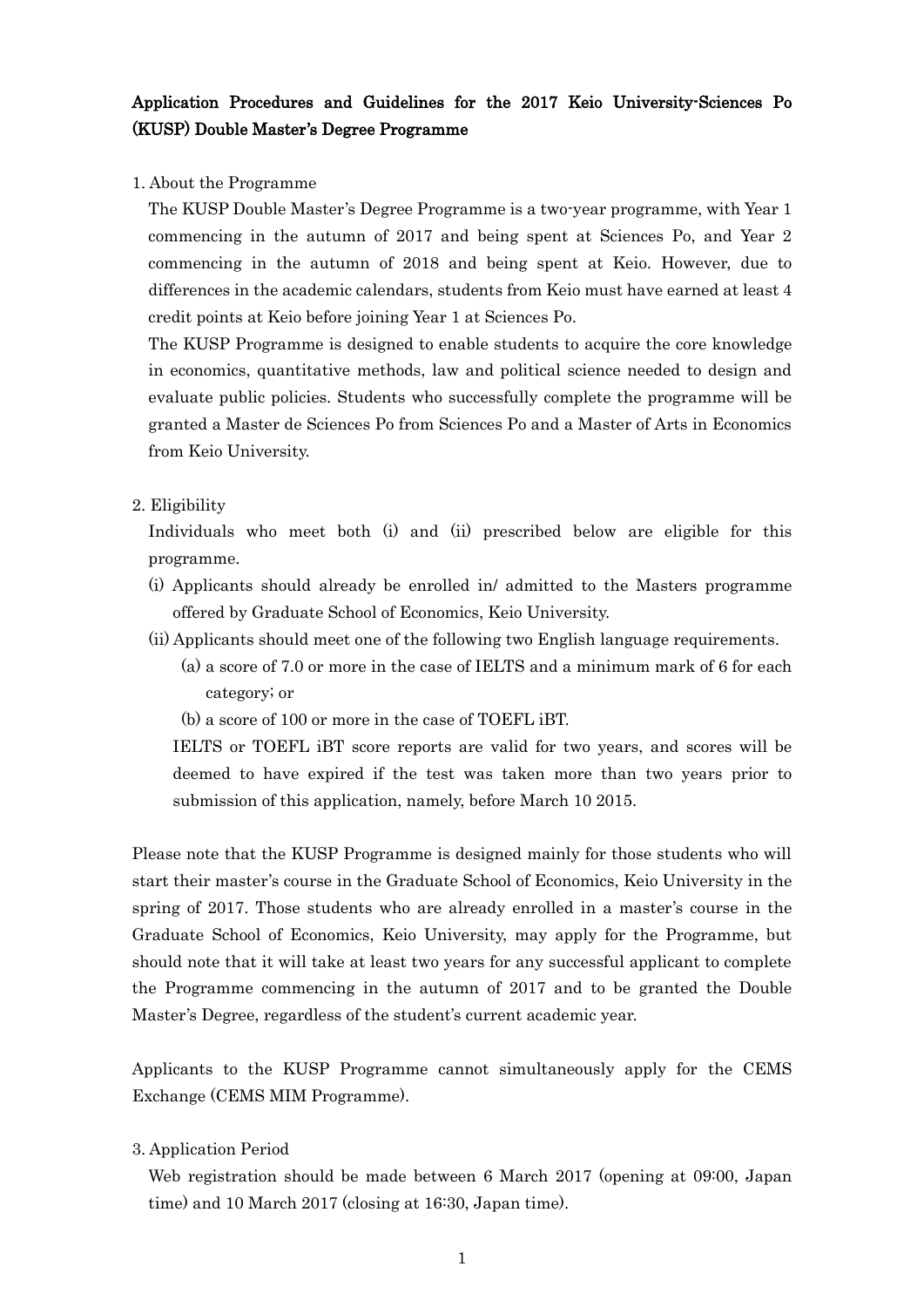# Application Procedures and Guidelines for the 2017 Keio University-Sciences Po (KUSP) Double Master's Degree Programme

#### 1. About the Programme

The KUSP Double Master's Degree Programme is a two-year programme, with Year 1 commencing in the autumn of 2017 and being spent at Sciences Po, and Year 2 commencing in the autumn of 2018 and being spent at Keio. However, due to differences in the academic calendars, students from Keio must have earned at least 4 credit points at Keio before joining Year 1 at Sciences Po.

The KUSP Programme is designed to enable students to acquire the core knowledge in economics, quantitative methods, law and political science needed to design and evaluate public policies. Students who successfully complete the programme will be granted a Master de Sciences Po from Sciences Po and a Master of Arts in Economics from Keio University.

#### 2. Eligibility

Individuals who meet both (i) and (ii) prescribed below are eligible for this programme.

- (i) Applicants should already be enrolled in/ admitted to the Masters programme offered by Graduate School of Economics, Keio University.
- (ii) Applicants should meet one of the following two English language requirements.
	- (a) a score of 7.0 or more in the case of IELTS and a minimum mark of 6 for each category; or
	- (b) a score of 100 or more in the case of TOEFL iBT.

IELTS or TOEFL iBT score reports are valid for two years, and scores will be deemed to have expired if the test was taken more than two years prior to submission of this application, namely, before March 10 2015.

Please note that the KUSP Programme is designed mainly for those students who will start their master's course in the Graduate School of Economics, Keio University in the spring of 2017. Those students who are already enrolled in a master's course in the Graduate School of Economics, Keio University, may apply for the Programme, but should note that it will take at least two years for any successful applicant to complete the Programme commencing in the autumn of 2017 and to be granted the Double Master's Degree, regardless of the student's current academic year.

Applicants to the KUSP Programme cannot simultaneously apply for the CEMS Exchange (CEMS MIM Programme).

3. Application Period

Web registration should be made between 6 March 2017 (opening at 09:00, Japan time) and 10 March 2017 (closing at 16:30, Japan time).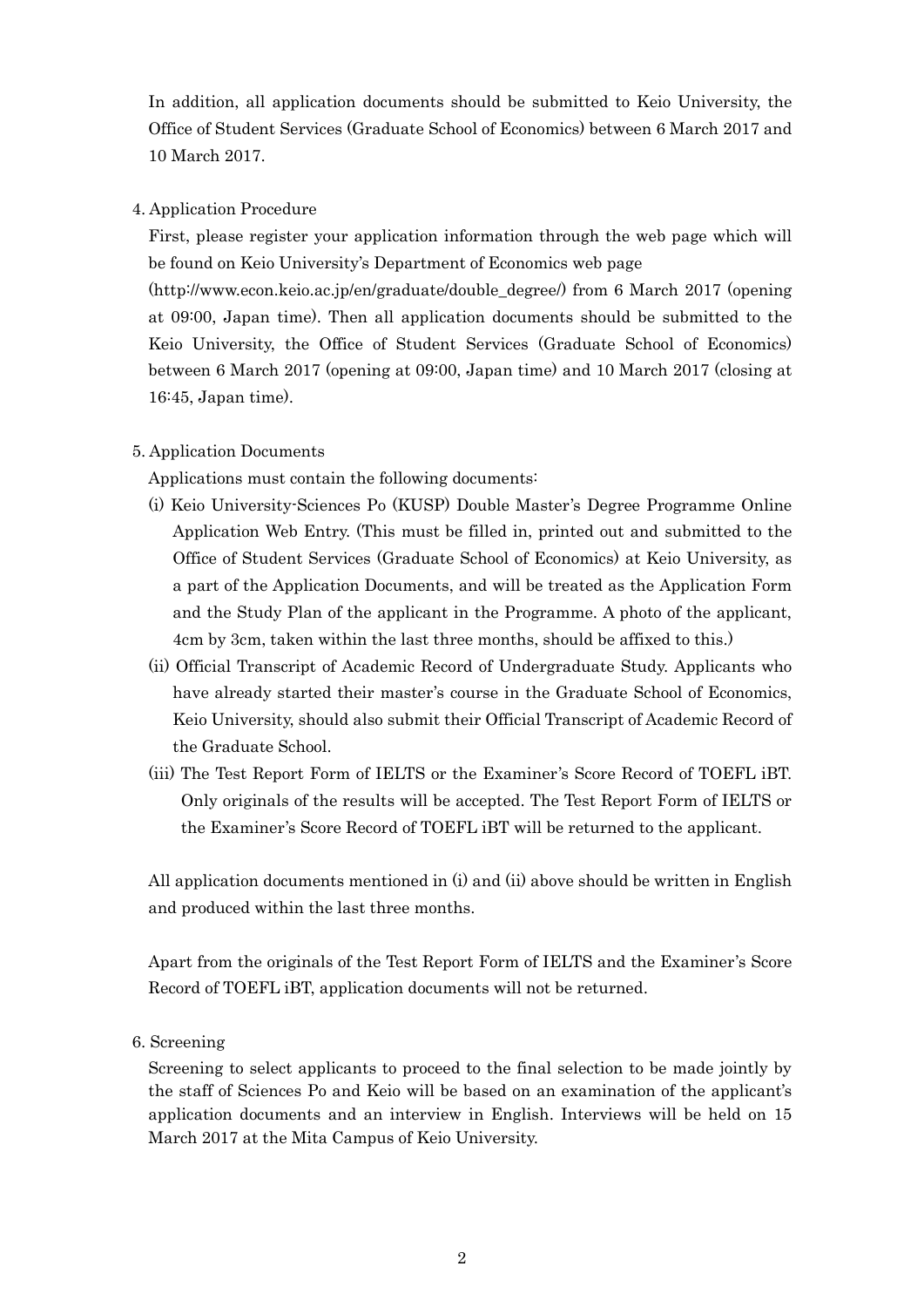In addition, all application documents should be submitted to Keio University, the Office of Student Services (Graduate School of Economics) between 6 March 2017 and 10 March 2017.

### 4. Application Procedure

First, please register your application information through the web page which will be found on Keio University's Department of Economics web page

(http://www.econ.keio.ac.jp/en/graduate/double\_degree/) from 6 March 2017 (opening at 09:00, Japan time). Then all application documents should be submitted to the Keio University, the Office of Student Services (Graduate School of Economics) between 6 March 2017 (opening at 09:00, Japan time) and 10 March 2017 (closing at 16:45, Japan time).

### 5. Application Documents

Applications must contain the following documents:

- (i) Keio University-Sciences Po (KUSP) Double Master's Degree Programme Online Application Web Entry. (This must be filled in, printed out and submitted to the Office of Student Services (Graduate School of Economics) at Keio University, as a part of the Application Documents, and will be treated as the Application Form and the Study Plan of the applicant in the Programme. A photo of the applicant, 4cm by 3cm, taken within the last three months, should be affixed to this.)
- (ii) Official Transcript of Academic Record of Undergraduate Study. Applicants who have already started their master's course in the Graduate School of Economics, Keio University, should also submit their Official Transcript of Academic Record of the Graduate School.
- (iii) The Test Report Form of IELTS or the Examiner's Score Record of TOEFL iBT. Only originals of the results will be accepted. The Test Report Form of IELTS or the Examiner's Score Record of TOEFL iBT will be returned to the applicant.

All application documents mentioned in (i) and (ii) above should be written in English and produced within the last three months.

Apart from the originals of the Test Report Form of IELTS and the Examiner's Score Record of TOEFL iBT, application documents will not be returned.

6. Screening

Screening to select applicants to proceed to the final selection to be made jointly by the staff of Sciences Po and Keio will be based on an examination of the applicant's application documents and an interview in English. Interviews will be held on 15 March 2017 at the Mita Campus of Keio University.